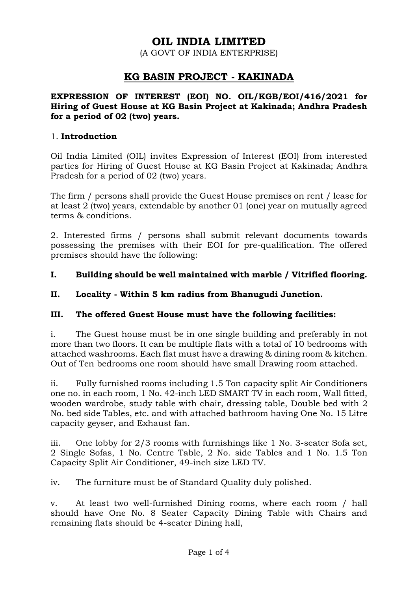# **OIL INDIA LIMITED**

(A GOVT OF INDIA ENTERPRISE)

## **KG BASIN PROJECT - KAKINADA**

#### **EXPRESSION OF INTEREST (EOI) NO. OIL/KGB/EOI/416/2021 for Hiring of Guest House at KG Basin Project at Kakinada; Andhra Pradesh for a period of 02 (two) years.**

#### 1. **Introduction**

Oil India Limited (OIL) invites Expression of Interest (EOI) from interested parties for Hiring of Guest House at KG Basin Project at Kakinada; Andhra Pradesh for a period of 02 (two) years.

The firm / persons shall provide the Guest House premises on rent / lease for at least 2 (two) years, extendable by another 01 (one) year on mutually agreed terms & conditions.

2. Interested firms / persons shall submit relevant documents towards possessing the premises with their EOI for pre-qualification. The offered premises should have the following:

#### **I. Building should be well maintained with marble / Vitrified flooring.**

#### **II. Locality - Within 5 km radius from Bhanugudi Junction.**

#### **III. The offered Guest House must have the following facilities:**

i. The Guest house must be in one single building and preferably in not more than two floors. It can be multiple flats with a total of 10 bedrooms with attached washrooms. Each flat must have a drawing & dining room & kitchen. Out of Ten bedrooms one room should have small Drawing room attached.

ii. Fully furnished rooms including 1.5 Ton capacity split Air Conditioners one no. in each room, 1 No. 42-inch LED SMART TV in each room, Wall fitted, wooden wardrobe, study table with chair, dressing table, Double bed with 2 No. bed side Tables, etc. and with attached bathroom having One No. 15 Litre capacity geyser, and Exhaust fan.

iii. One lobby for 2/3 rooms with furnishings like 1 No. 3-seater Sofa set, 2 Single Sofas, 1 No. Centre Table, 2 No. side Tables and 1 No. 1.5 Ton Capacity Split Air Conditioner, 49-inch size LED TV.

iv. The furniture must be of Standard Quality duly polished.

v. At least two well-furnished Dining rooms, where each room / hall should have One No. 8 Seater Capacity Dining Table with Chairs and remaining flats should be 4-seater Dining hall,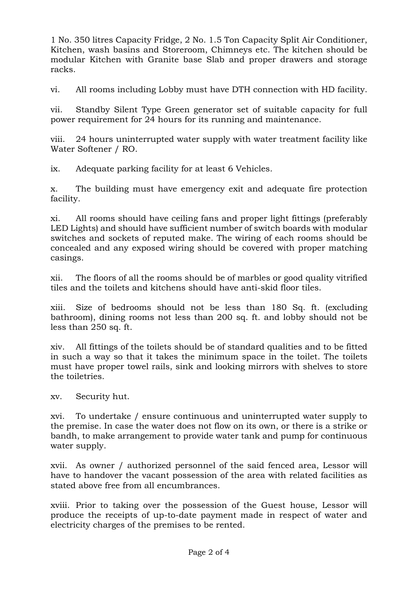1 No. 350 litres Capacity Fridge, 2 No. 1.5 Ton Capacity Split Air Conditioner, Kitchen, wash basins and Storeroom, Chimneys etc. The kitchen should be modular Kitchen with Granite base Slab and proper drawers and storage racks.

vi. All rooms including Lobby must have DTH connection with HD facility.

vii. Standby Silent Type Green generator set of suitable capacity for full power requirement for 24 hours for its running and maintenance.

viii. 24 hours uninterrupted water supply with water treatment facility like Water Softener / RO.

ix. Adequate parking facility for at least 6 Vehicles.

x. The building must have emergency exit and adequate fire protection facility.

xi. All rooms should have ceiling fans and proper light fittings (preferably LED Lights) and should have sufficient number of switch boards with modular switches and sockets of reputed make. The wiring of each rooms should be concealed and any exposed wiring should be covered with proper matching casings.

xii. The floors of all the rooms should be of marbles or good quality vitrified tiles and the toilets and kitchens should have anti-skid floor tiles.

xiii. Size of bedrooms should not be less than 180 Sq. ft. (excluding bathroom), dining rooms not less than 200 sq. ft. and lobby should not be less than 250 sq. ft.

xiv. All fittings of the toilets should be of standard qualities and to be fitted in such a way so that it takes the minimum space in the toilet. The toilets must have proper towel rails, sink and looking mirrors with shelves to store the toiletries.

xv. Security hut.

xvi. To undertake / ensure continuous and uninterrupted water supply to the premise. In case the water does not flow on its own, or there is a strike or bandh, to make arrangement to provide water tank and pump for continuous water supply.

xvii. As owner / authorized personnel of the said fenced area, Lessor will have to handover the vacant possession of the area with related facilities as stated above free from all encumbrances.

xviii. Prior to taking over the possession of the Guest house, Lessor will produce the receipts of up-to-date payment made in respect of water and electricity charges of the premises to be rented.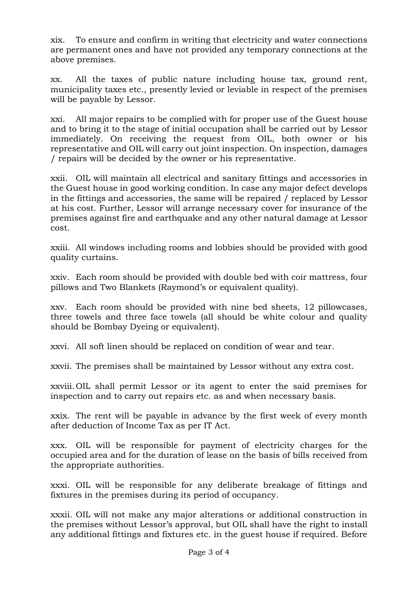xix. To ensure and confirm in writing that electricity and water connections are permanent ones and have not provided any temporary connections at the above premises.

xx. All the taxes of public nature including house tax, ground rent, municipality taxes etc., presently levied or leviable in respect of the premises will be payable by Lessor.

xxi. All major repairs to be complied with for proper use of the Guest house and to bring it to the stage of initial occupation shall be carried out by Lessor immediately. On receiving the request from OIL, both owner or his representative and OIL will carry out joint inspection. On inspection, damages / repairs will be decided by the owner or his representative.

xxii. OIL will maintain all electrical and sanitary fittings and accessories in the Guest house in good working condition. In case any major defect develops in the fittings and accessories, the same will be repaired / replaced by Lessor at his cost. Further, Lessor will arrange necessary cover for insurance of the premises against fire and earthquake and any other natural damage at Lessor cost.

xxiii. All windows including rooms and lobbies should be provided with good quality curtains.

xxiv. Each room should be provided with double bed with coir mattress, four pillows and Two Blankets (Raymond's or equivalent quality).

xxv. Each room should be provided with nine bed sheets, 12 pillowcases, three towels and three face towels (all should be white colour and quality should be Bombay Dyeing or equivalent).

xxvi. All soft linen should be replaced on condition of wear and tear.

xxvii. The premises shall be maintained by Lessor without any extra cost.

xxviii. OIL shall permit Lessor or its agent to enter the said premises for inspection and to carry out repairs etc. as and when necessary basis.

xxix. The rent will be payable in advance by the first week of every month after deduction of Income Tax as per IT Act.

xxx. OIL will be responsible for payment of electricity charges for the occupied area and for the duration of lease on the basis of bills received from the appropriate authorities.

xxxi. OIL will be responsible for any deliberate breakage of fittings and fixtures in the premises during its period of occupancy.

xxxii. OIL will not make any major alterations or additional construction in the premises without Lessor's approval, but OIL shall have the right to install any additional fittings and fixtures etc. in the guest house if required. Before